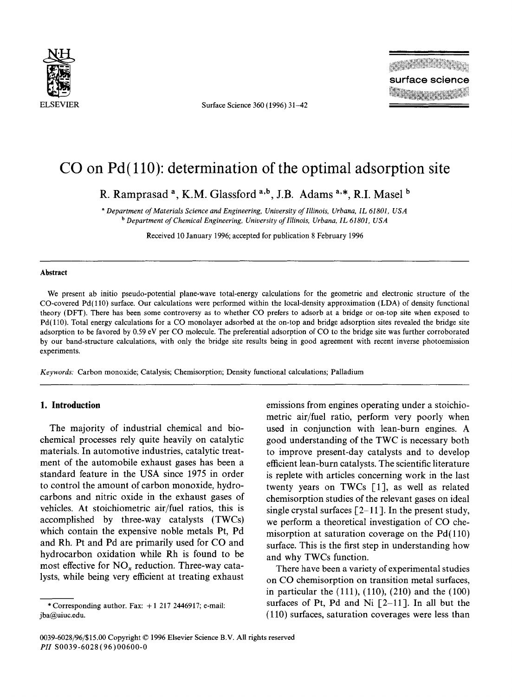

Surface Science 360 (1996) 31-42

# **CO on Pd( 110): determination of the optimal adsorption site**

R. Ramprasad<sup>a</sup>, K.M. Glassford<sup>a,b</sup>, J.B. Adams<sup>a,\*</sup>, R.I. Masel<sup>b</sup>

*a Department of Materials Science and Engineering, University of Illinois, Urbana, 1L 61801, USA b Department of Chemical Engineering, University of Illinois, Urbana, IL 61801, USA* 

Received 10 January 1996; accepted for publication 8 February 1996

#### **Abstract**

We present ab initio pseudo-potential plane-wave total-energy calculations for the geometric and electronic structure of the CO-covered Pd(110) surface. Our calculations were performed within the local-density approximation (LDA) of density functional theory (DFT). There has been some controversy as to whether CO prefers to adsorb at a bridge or on-top site when exposed to Pd(110). Total energy calculations for a CO monolayer adsorbed at the on-top and bridge adsorption sites revealed the bridge site adsorption to be favored by 0.59 eV per CO molecule. The preferential adsorption of CO to the bridge site was further corroborated by our band-structure calculations, with only the bridge site results being in good agreement with recent inverse photoemission experiments.

*Keywords:* Carbon monoxide; Catalysis; Chemisorption; Density functional calculations; Palladium

# **1. Introduction**

The majority of industrial chemical and biochemical processes rely quite heavily on catalytic materials. In automotive industries, catalytic treatment of the automobile exhaust gases has been a standard feature in the USA since 1975 in order to control the amount of carbon monoxide, hydrocarbons and nitric oxide in the exhaust gases of vehicles. At stoichiometric air/fuel ratios, this is accomplished by three-way catalysts (TWCs) which contain the expensive noble metals Pt, Pd and Rh. Pt and Pd are primarily used for CO and hydrocarbon oxidation while Rh is found to be most effective for  $NO<sub>x</sub>$  reduction. Three-way catalysts, while being very efficient at treating exhaust

\* Corresponding author. Fax:  $+1$  217 2446917; e-mail: jba@uiuc.edu.

emissions from engines operating under a stoichiometric air/fuel ratio, perform very poorly when used in conjunction with lean-burn engines. A good understanding of the TWC is necessary both to improve present-day catalysts and to develop efficient lean-burn catalysts. The scientific literature is replete with articles concerning work in the last twenty years on TWCs [1], as well as related chemisorption studies of the relevant gases on ideal single crystal surfaces  $\lceil 2-11 \rceil$ . In the present study, we perform a theoretical investigation of CO chemisorption at saturation coverage on the  $Pd(110)$ surface. This is the first step in understanding how and why TWCs function.

There have been a variety of experimental studies on CO chemisorption on transition metal surfaces, in particular the (111), (110), (210) and the (100) surfaces of Pt, Pd and Ni  $\lceil 2{-}11 \rceil$ . In all but the (110) surfaces, saturation coverages were less than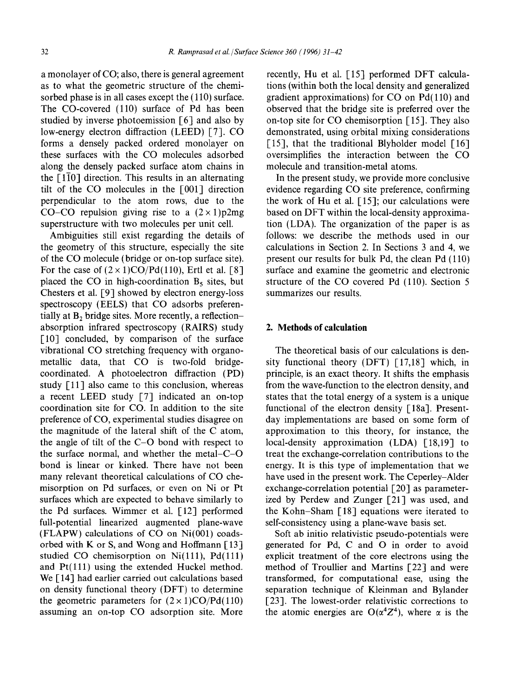a monolayer of CO; also, there is general agreement as to what the geometric structure of the chemisorbed phase is in all cases except the (110) surface. The CO-covered (110) surface of Pd has been studied by inverse photoemission [6] and also by low-energy electron diffraction (LEED) [7]. CO forms a densely packed ordered monolayer on these surfaces with the CO molecules adsorbed along the densely packed surface atom chains in the  $[1\overline{1}0]$  direction. This results in an alternating tilt of the CO molecules in the [001] direction perpendicular to the atom rows, due to the CO–CO repulsion giving rise to a  $(2 \times 1)p2mg$ superstructure with two molecules per unit cell.

Ambiguities still exist regarding the details of the geometry of this structure, especially the site of the CO molecule (bridge or on-top surface site). For the case of  $(2 \times 1)CO/Pd(110)$ , Ertl et al. [8] placed the CO in high-coordination  $B_5$  sites, but Chesters et al. [9] showed by electron energy-loss spectroscopy (EELS) that CO adsorbs preferentially at  $B_2$  bridge sites. More recently, a reflectionabsorption infrared spectroscopy (RAIRS) study [10] concluded, by comparison of the surface vibrational CO stretching frequency with organometallic data, that CO is two-fold bridgecoordinated. A photoelectron diffraction (PD) study [11] also came to this conclusion, whereas a recent LEED study  $[7]$  indicated an on-top coordination site for CO. In addition to the site preference of CO, experimental studies disagree on the magnitude of the lateral shift of the C atom, the angle of tilt of the C-O bond with respect to the surface normal, and whether the metal-C-O bond is linear or kinked. There have not been many relevant theoretical calculations of CO chemisorption on Pd surfaces, or even on Ni or Pt surfaces which are expected to behave similarly to the Pd surfaces. Wimmer et al. [12] performed full-potential linearized augmented plane-wave (FLAPW) calculations of CO on Ni(001) coadsorbed with K or S, and Wong and Hoffmann  $[13]$ studied CO chemisorption on  $Ni(111)$ ,  $Pd(111)$ and Pt(111) using the extended Huckel method. We [14] had earlier carried out calculations based on density functional theory (DFT) to determine the geometric parameters for  $(2 \times 1)CO/Pd(110)$ assuming an on-top CO adsorption site. More

recently, Hu et al. [15] performed DFT calculations (within both the local density and generalized gradient approximations) for CO on Pd(110) and observed that the bridge site is preferred over the on-top site for CO chemisorption [15]. They also demonstrated, using orbital mixing considerations [15], that the traditional Blyholder model  $[16]$ oversimplifies the interaction between the CO molecule and transition-metal atoms.

In the present study, we provide more conclusive evidence regarding CO site preference, confirming the work of Hu et al. [15]; our calculations were based on DFT within the local-density approximation (LDA). The organization of the paper is as follows: we describe the methods used in our calculations in Section 2. In Sections 3 and 4, we present our results for bulk Pd, the clean Pd (110) surface and examine the geometric and electronic structure of the CO covered Pd (110). Section 5 summarizes our results.

## **2. Methods of calculation**

The theoretical basis of our calculations is density functional theory (DFT) [17,18] which, in principle, is an exact theory. It shifts the emphasis from the wave-function to the electron density, and states that the total energy of a system is a unique functional of the electron density [18a]. Presentday implementations are based on some form of approximation to this theory, for instance, the local-density approximation (LDA) [18,19] to treat the exchange-correlation contributions to the energy. It is this type of implementation that we have used in the present work. The Ceperley-Alder exchange-correlation potential  $\lceil 20 \rceil$  as parameterized by Perdew and Zunger [21] was used, and the Kohn-Sham [18] equations were iterated to self-consistency using a plane-wave basis set.

Soft ab initio relativistic pseudo-potentials were generated for Pd, C and O in order to avoid explicit treatment of the core electrons using the method of Troullier and Martins [22] and were transformed, for computational ease, using the separation technique of Kleinman and Bylander [23]. The lowest-order relativistic corrections to the atomic energies are  $O(\alpha^4 Z^4)$ , where  $\alpha$  is the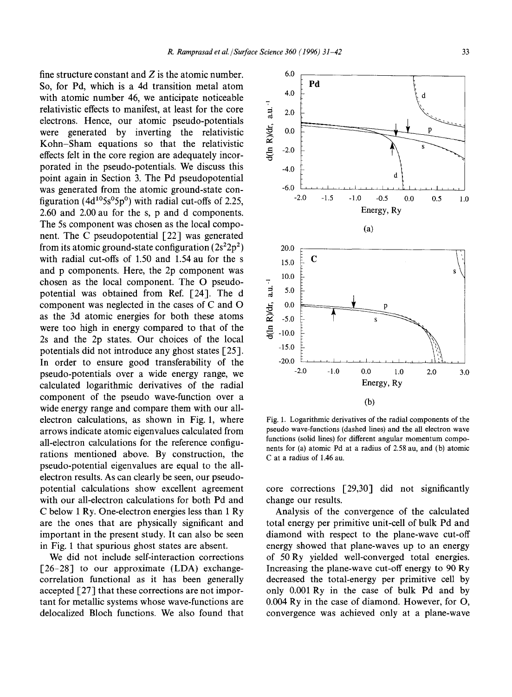fine structure constant and  $Z$  is the atomic number. So, for Pd, which is a 4d transition metal atom with atomic number 46, we anticipate noticeable relativistic effects to manifest, at least for the core electrons. Hence, our atomic pseudo-potentials were generated by inverting the relativistic Kohn-Sham equations so that the relativistic effects felt in the core region are adequately incorporated in the pseudo-potentials. We discuss this point again in Section 3. The Pd pseudopotential was generated from the atomic ground-state configuration (4d<sup>10</sup>5s<sup>o</sup>5p<sup>0</sup>) with radial cut-offs of 2.25, 2.60 and 2.00 au for the s, p and d components. The 5s component was chosen as the local component. The C pseudopotential [22] was generated from its atomic ground-state configuration  $(2s^22p^2)$ with radial cut-offs of 1.50 and 1.54 au for the s and p components. Here, the 2p component was chosen as the local component. The O pseudopotential was obtained from Ref. [24]. The d component was neglected in the cases of C and O as the 3d atomic energies for both these atoms were too high in energy compared to that of the 2s and the 2p states. Our choices of the local potentials did not introduce any ghost states [25]. In order to ensure good transferability of the pseudo-potentials over a wide energy range, we calculated logarithmic derivatives of the radial component of the pseudo wave-function over a wide energy range and compare them with our allelectron calculations, as shown in Fig. 1, where arrows indicate atomic eigenvalues calculated from all-electron calculations for the reference configurations mentioned above. By construction, the pseudo-potential eigenvalues are equal to the allelectron results. As can clearly be seen, our pseudopotential calculations show excellent agreement with our all-electron calculations for both Pd and C below 1 Ry. One-electron energies less than 1 Ry are the ones that are physically significant and important in the present study. It can also be seen in Fig. 1 that spurious ghost states are absent.

We did not include self-interaction corrections [26-28] to our approximate (LDA) exchangecorrelation functional as it has been generally accepted  $[27]$  that these corrections are not important for metallic systems whose wave-functions are delocalized Bloch functions. We also found that



Fig. 1. Logarithmic derivatives of the radial components of the pseudo wave-functions (dashed lines) and the all electron wave functions (solid lines) for different angular momentum components for (a) atomic Pd at a radius of 2.58 au, and (b) atomic C at a radius of 1.46 au.

core corrections [29,30] did not significantly change our results.

Analysis of the convergence of the calculated total energy per primitive unit-cell of bulk Pd and diamond with respect to the plane-wave cut-off energy showed that plane-waves up to an energy of 50 Ry yielded well-converged total energies. Increasing the plane-wave cut-off energy to 90 Ry decreased the total-energy per primitive cell by only 0.001Ry in the case of bulk Pd and by 0.004 Ry in the case of diamond. However, for O, convergence was achieved only at a plane-wave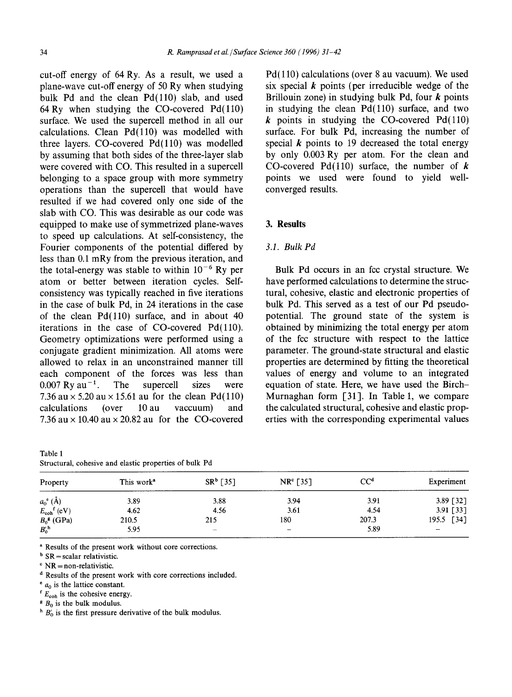cut-off energy of 64 Ry. As a result, we used a plane-wave cut-off energy of 50 Ry when studying bulk Pd and the clean Pd(110) slab, and used 64 Ry when studying the CO-covered  $Pd(110)$ surface. We used the supercell method in all our calculations. Clean  $Pd(110)$  was modelled with three layers.  $CO$ -covered  $Pd(110)$  was modelled by assuming that both sides of the three-layer slab were covered with CO. This resulted in a supercell belonging to a space group with more symmetry operations than the supercell that would have resulted if we had covered only one side of the slab with CO. This was desirable as our code was equipped to make use of symmetrized plane-waves to speed up calculations. At self-consistency, the Fourier components of the potential differed by less than 0.1 mRy from the previous iteration, and the total-energy was stable to within  $10^{-6}$  Ry per atom or better between iteration cycles. Selfconsistency was typically reached in five iterations in the case of bulk Pd, in 24 iterations in the case of the clean  $Pd(110)$  surface, and in about 40 iterations in the case of  $CO$ -covered  $Pd(110)$ . Geometry optimizations were performed using a conjugate gradient minimization. All atoms were allowed to relax in an unconstrained manner till each component of the forces was less than  $0.007 \text{ Ry} \text{ au}^{-1}$ . The supercell sizes were 7.36 au  $\times$  5.20 au  $\times$  15.61 au for the clean Pd(110) calculations (over 10 au vaccuum) and 7.36 au  $\times$  10.40 au  $\times$  20.82 au for the CO-covered

| $-0.0001$                                              |  |  |  |  |
|--------------------------------------------------------|--|--|--|--|
| Structural, cohesive and elastic properties of bulk Pd |  |  |  |  |

Pd(110) calculations (over 8 au vacuum). We used six special  $k$  points (per irreducible wedge of the Brillouin zone) in studying bulk Pd, four  $k$  points in studying the clean  $Pd(110)$  surface, and two  $k$  points in studying the CO-covered Pd(110) surface. For bulk Pd, increasing the number of special  $k$  points to 19 decreased the total energy by only 0.003 Ry per atom. For the clean and CO-covered Pd(110) surface, the number of  $k$ points we used were found to yield wellconverged results.

## **3. Results**

#### *3.1. Bulk Pd*

Bulk Pd occurs in an fcc crystal structure. We have performed calculations to determine the structural, cohesive, elastic and electronic properties of bulk Pd. This served as a test of our Pd pseudopotential. The ground state of the system is obtained by minimizing the total energy per atom of the fcc structure with respect to the lattice parameter. The ground-state structural and elastic properties are determined by fitting the theoretical values of energy and volume to an integrated equation of state. Here, we have used the Birch-Murnaghan form  $\lceil 31 \rceil$ . In Table 1, we compare the calculated structural, cohesive and elastic properties with the corresponding experimental values

| Property                         | This work <sup>a</sup> | $SR^b$ [35]              | $NR^{c}$ [35]            | CC <sup>d</sup> | Experiment  |
|----------------------------------|------------------------|--------------------------|--------------------------|-----------------|-------------|
| $a_0^{\text{e}}(\text{\AA})$     | 3.89                   | 3.88                     | 3.94                     | 3.91            | 3.89 [32]   |
| $E_{\text{coh}}^{\text{f}}$ (eV) | 4.62                   | 4.56                     | 3.61                     | 4.54            | 3.91 $[33]$ |
| $B_0$ <sup>g</sup> (GPa)         | 210.5                  | 215                      | 180                      | 207.3           | 195.5 [34]  |
| $B_0^{\prime h}$                 | 5.95                   | $\overline{\phantom{a}}$ | $\overline{\phantom{a}}$ | 5.89            | $-$         |

<sup>a</sup> Results of the present work without core corrections.

 $<sup>b</sup>$  SR = scalar relativistic.</sup>

 $\textdegree$  NR = non-relativistic.

Table 1

d Results of the present work with core corrections included.

 $e_{a_0}$  is the lattice constant.

 $F_{\rm coh}$  is the cohesive energy.

 $B_0$  is the bulk modulus.

 $h B'_{0}$  is the first pressure derivative of the bulk modulus.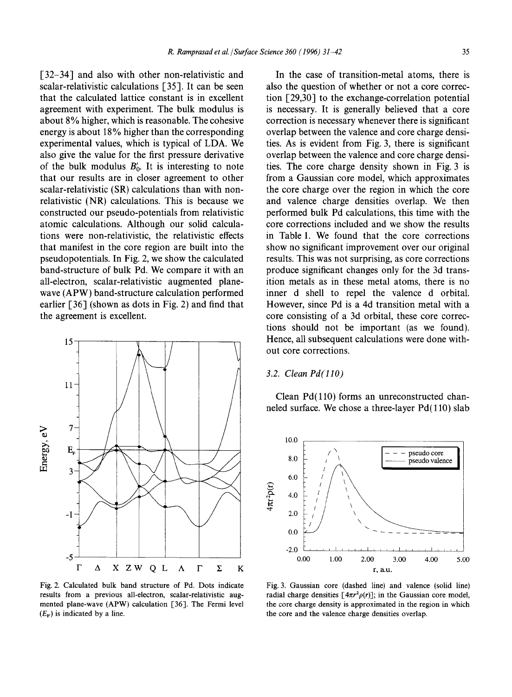[32-34] and also with other non-relativistic and scalar-relativistic calculations [35]. It can be seen that the calculated lattice constant is in excellent agreement with experiment. The bulk modulus is about 8% higher, which is reasonable. The cohesive energy is about 18% higher than the corresponding experimental values, which is typical of LDA. We also give the value for the first pressure derivative of the bulk modulus  $B'_0$ . It is interesting to note that our results are in closer agreement to other scalar-relativistic (SR) calculations than with nonrelativistic (NR) calculations. This is because we constructed our pseudo-potentials from relativistic atomic calculations. Although our solid calculations were non-relativistic, the relativistic effects that manifest in the core region are built into the pseudopotentials. In Fig. 2, we show the calculated band-structure of bulk Pd. We compare it with an all-electron, scalar-relativistic augmented planewave (APW) band-structure calculation performed earlier [36] (shown as dots in Fig. 2) and find that the agreement is excellent.



Fig. 2. Calculated bulk band structure of Pd. Dots indicate results from a previous all-electron, scalar-relativistic augmented plane-wave (APW) calculation [36]. The Fermi level  $(E_F)$  is indicated by a line.

In the case of transition-metal atoms, there is also the question of whether or not a core correction [29,30] to the exchange-correlation potential is necessary. It is generally believed that a core correction is necessary whenever there is significant overlap between the valence and core charge densities. As is evident from Fig. 3, there is significant overlap between the valence and core charge densities. The core charge density shown in Fig. 3 is from a Gaussian core model, which approximates the core charge over the region in which the core and valence charge densities overlap. We then performed bulk Pd calculations, this time with the core corrections included and we show the results in Table 1. We found that the core corrections show no significant improvement over our original results. This was not surprising, as core corrections produce significant changes only for the 3d transition metals as in these metal atoms, there is no inner d shell to repel the valence d orbital. However, since Pd is a 4d transition metal with a core consisting of a 3d orbital, these core corrections should not be important (as we found). Hence, all subsequent calculations were done without core corrections.

## *3.2. Clean Pd(llO)*

Clean Pd(110) forms an unreconstructed channeled surface. We chose a three-layer Pd(110) slab



Fig. 3. Gaussian core (dashed line) and valence (solid line) radial charge densities  $[4\pi r^2 \rho(r)]$ ; in the Gaussian core model, the core charge density is approximated in the region in which the core and the valence charge densities overlap.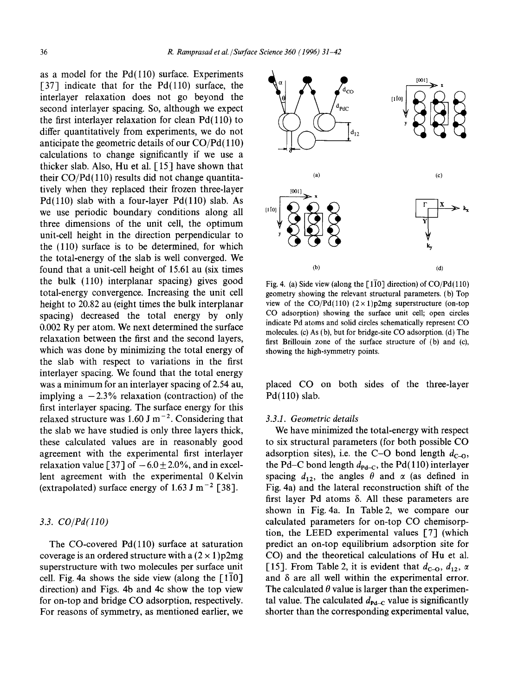as a model for the  $Pd(110)$  surface. Experiments [37] indicate that for the  $Pd(110)$  surface, the interlayer relaxation does not go beyond the second interlayer spacing. So, although we expect the first interlayer relaxation for clean Pd(110) to differ quantitatively from experiments, we do not anticipate the geometric details of our CO/Pd(110) calculations to change significantly if we use a thicker slab. Also, Hu et al. [15] have shown that their CO/Pd(110) results did not change quantitatively when they replaced their frozen three-layer Pd(110) slab with a four-layer Pd(110) slab. As we use periodic boundary conditions along all three dimensions of the unit cell, the optimum unit-cell height in the direction perpendicular to the (110) surface is to be determined, for which the total-energy of the slab is well converged. We found that a unit-cell height of 15.61 au (six times the bulk (110) interplanar spacing) gives good total-energy convergence. Increasing the unit cell height to 20.82 au (eight times the bulk interplanar spacing) decreased the total energy by only 0.002 Ry per atom. We next determined the surface relaxation between the first and the second layers, which was done by minimizing the total energy of the slab with respect to variations in the first interlayer spacing. We found that the total energy was a minimum for an interlayer spacing of 2.54 au, implying a  $-2.3\%$  relaxation (contraction) of the first interlayer spacing. The surface energy for this relaxed structure was 1.60 J m<sup> $-2$ </sup>. Considering that the slab we have studied is only three layers thick, these calculated values are in reasonably good agreement with the experimental first interlayer relaxation value [37] of  $-6.0 \pm 2.0\%$ , and in excellent agreement with the experimental 0 Kelvin (extrapolated) surface energy of 1.63 J m<sup>-2</sup> [38].

# *3.3. CO/Pd(110)*

The CO-covered  $Pd(110)$  surface at saturation coverage is an ordered structure with a  $(2 \times 1)$  p2mg superstructure with two molecules per surface unit cell. Fig. 4a shows the side view (along the  $\lceil 1\overline{1}0\rceil$ direction) and Figs. 4b and 4c show the top view for on-top and bridge CO adsorption, respectively. For reasons of symmetry, as mentioned earlier, we



Fig. 4. (a) Side view (along the  $\lceil 1\overline{1}0 \rceil$  direction) of CO/Pd(110) geometry showing the relevant structural parameters. (b) Top view of the CO/Pd(110)  $(2 \times 1)p2mg$  superstructure (on-top CO adsorption) showing the surface unit cell; open circles indicate Pd atoms and solid circles schematically represent CO molecules. (c) As (b), but for bridge-site CO adsorption. (d) The first Brillouin zone of the surface structure of (b) and (c), showing the high-symmetry points.

placed CO on both sides of the three-layer Pd(110) slab.

#### *3.3.1. Geometric details*

We have minimized the total-energy with respect to six structural parameters (for both possible CO adsorption sites), i.e. the C-O bond length  $d_{C-0}$ , the Pd–C bond length  $d_{\text{Pd} - \text{C}}$ , the Pd(110) interlayer spacing  $d_{12}$ , the angles  $\theta$  and  $\alpha$  (as defined in Fig. 4a) and the lateral reconstruction shift of the first layer Pd atoms  $\delta$ . All these parameters are shown in Fig. 4a. In Table 2, we compare our calculated parameters for on-top CO chemisorption, the LEED experimental values [7] (which predict an on-top equilibrium adsorption site for CO) and the theoretical calculations of Hu et al. [15]. From Table 2, it is evident that  $d_{C=0}$ ,  $d_{12}$ ,  $\alpha$ and  $\delta$  are all well within the experimental error. The calculated  $\theta$  value is larger than the experimental value. The calculated  $d_{\text{Pd-C}}$  value is significantly shorter than the corresponding experimental value,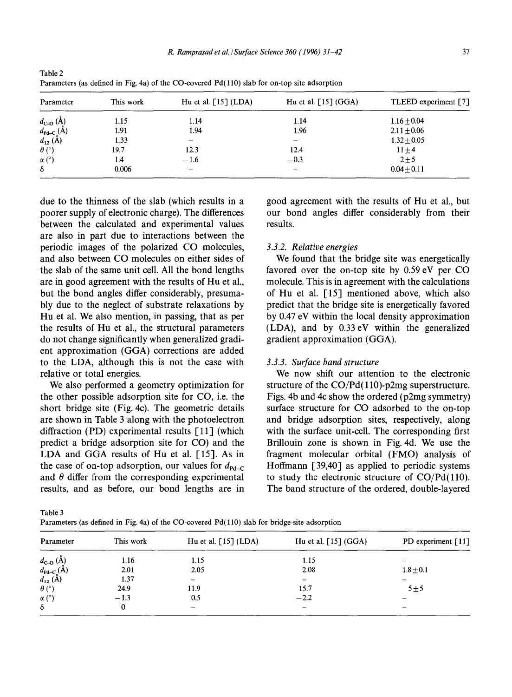| Parameter                                                      | This work | Hu et al. $\lceil 15 \rceil$ (LDA) | Hu et al. $\lceil 15 \rceil$ (GGA) | TLEED experiment [7] |
|----------------------------------------------------------------|-----------|------------------------------------|------------------------------------|----------------------|
|                                                                | 1.15      | 1.14                               | 1.14                               | $1.16 \pm 0.04$      |
| $d_{C-O}(\hat{A})$<br>$d_{Pd-C}(\hat{A})$<br>$d_{12}(\hat{A})$ | 1.91      | 1.94                               | 1.96                               | $2.11 \pm 0.06$      |
|                                                                | 1.33      | $\overline{\phantom{a}}$           | $\overline{\phantom{a}}$           | $1.32 \pm 0.05$      |
| $\theta$ (°)                                                   | 19.7      | 12.3                               | 12.4                               | $11 \pm 4$           |
| $\alpha$ (°)                                                   | 1.4       | $-1.6$                             | $-0.3$                             | $2 + 5$              |
| δ                                                              | 0.006     | $\overline{\phantom{0}}$           | $\qquad \qquad$                    | $0.04 + 0.11$        |

Table 2 Parameters (as defined in Fig. 4a) of the CO-covered Pd(110) slab for on-top site adsorption

due to the thinness of the slab (which results in a poorer supply of electronic charge). The differences between the calculated and experimental values are also in part due to interactions between the periodic images of the polarized CO molecules, and also between CO molecules on either sides of the slab of the same unit cell. All the bond lengths are in good agreement with the results of Hu et al., but the bond angles differ considerably, presumably due to the neglect of substrate relaxations by Hu et al. We also mention, in passing, that as per the results of Hu et al., the structural parameters do not change significantly when generalized gradient approximation (GGA) corrections are added to the LDA, although this is not the case with relative or total energies.

We also performed a geometry optimization for the other possible adsorption site for CO, i.e. the short bridge site (Fig. 4c). The geometric details are shown in Table 3 along with the photoelectron diffraction (PD) experimental results [11] (which predict a bridge adsorption site for CO) and the LDA and GGA results of Hu et al. [15]. As in the case of on-top adsorption, our values for  $d_{\text{Pd-C}}$ and  $\theta$  differ from the corresponding experimental results, and as before, our bond lengths are in good agreement with the results of Hu et al., but our bond angles differ considerably from their results.

## *3.3.2. Relative energies*

We found that the bridge site was energetically favored over the on-top site by 0.59 eV per CO molecule. This is in agreement with the calculations of Hu et al. [15] mentioned above, which also predict that the bridge site is energetically favored by 0.47 eV within the local density approximation (LDA), and by 0.33eV within the generalized gradient approximation (GGA).

#### *3.3.3. Surface band structure*

We now shift our attention to the electronic structure of the  $CO/Pd(110)$ -p2mg superstructure. Figs. 4b and 4c show the ordered (p2mg symmetry) surface structure for CO adsorbed to the on-top and bridge adsorption sites, respectively, along with the surface unit-cell. The corresponding first Brillouin zone is shown in Fig. 4d. We use the fragment molecular orbital (FMO) analysis of Hoffmann [39,40] as applied to periodic systems to study the electronic structure of  $CO/Pd(110)$ . The band structure of the ordered, double-layered

Table 3

-

 $\alpha$  $\delta$ 

Parameters (as defined in Fig. 4a) of the CO-covered  $Pd(110)$  slab for bridge-site adsorption

| Parameter                            | This work | Hu et al. [15] (LDA)     | Hu et al. $[15]$ (GGA)   | PD experiment $[11]$ |
|--------------------------------------|-----------|--------------------------|--------------------------|----------------------|
| $d_{\text{c-o}}(\check{\mathrm{A}})$ | 1.16      | 1.15                     | 1.15                     |                      |
| $d_{\mathbf{Pd-C}}(\mathbf{A})$      | 2.01      | 2.05                     | 2.08                     | $1.8 + 0.1$          |
| $d_{12}(\AA)$                        | 1.37      | -                        | $\overline{\phantom{0}}$ |                      |
| $\theta$ (°)                         | 24.9      | 11.9                     | 15.7                     | $5 \pm 5$            |
| α (°)                                | $-1.3$    | 0.5                      | $-2.2$                   |                      |
| δ                                    | 0         | $\overline{\phantom{m}}$ | $\overline{\phantom{a}}$ | -                    |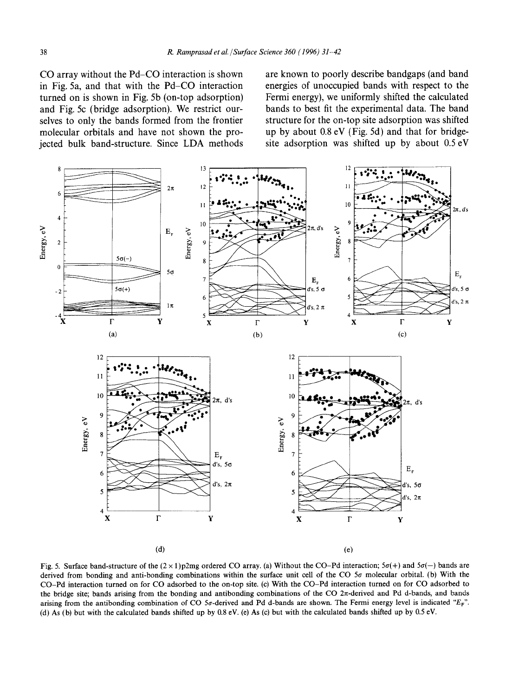**CO array without the Pd-CO interaction is shown in Fig. 5a, and that with the Pd-CO interaction turned on is shown in Fig. 5b (on-top adsorption) and Fig. 5c (bridge adsorption). We restrict ourselves to only the bands formed from the frontier molecular orbitals and have not shown the projected bulk band-structure. Since LDA methods**  **are known to poorly describe bandgaps (and band energies of unoccupied bands with respect to the Fermi energy), we uniformly shifted the calculated bands to best fit the experimental data. The band structure for the on-top site adsorption was shifted up by about 0.8 eV (Fig. 5d) and that for bridgesite adsorption was shifted up by about 0.5 eV** 



Fig. 5. Surface band-structure of the  $(2 \times 1)p2mg$  ordered CO array. (a) Without the CO-Pd interaction;  $5\sigma(+)$  and  $5\sigma(-)$  bands are derived from bonding and anti-bonding combinations within the surface unit cell of the CO  $5\sigma$  molecular orbital. (b) With the CO-Pd interaction turned on for CO adsorbed to the on-top site. (c) With the CO-Pd interaction turned on for CO adsorbed **to**  the bridge site; bands arising from the bonding and antibonding combinations of the CO 2 $\pi$ -derived and Pd d-bands, and bands arising from the antibonding combination of CO 5 $\sigma$ -derived and Pd d-bands are shown. The Fermi energy level is indicated "E<sub>F</sub>". (d) As (b) but with the calculated bands shifted up by 0.8 eV. (e) As (c) but with the calculated bands shifted up by 0.5 eV.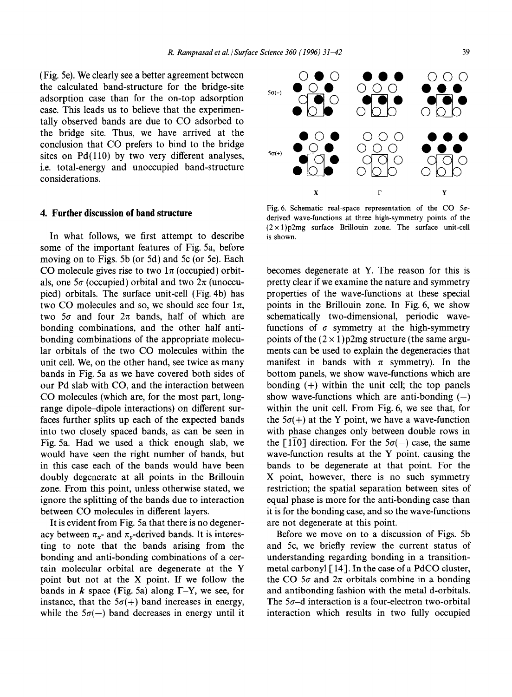(Fig. 5e). We clearly see a better agreement between the calculated band-structure for the bridge-site adsorption case than for the on-top adsorption case. This leads us to believe that the experimentally observed bands are due to CO adsorbed to the bridge site. Thus, we have arrived at the conclusion that CO prefers to bind to the bridge sites on  $Pd(110)$  by two very different analyses, i.e. total-energy and unoccupied band-structure considerations.

#### **4. Further discussion of band structure**

In what follows, we first attempt to describe some of the important features of Fig. 5a, before moving on to Figs. 5b (or 5d) and 5c (or 5e). Each CO molecule gives rise to two  $1\pi$  (occupied) orbitals, one  $5\sigma$  (occupied) orbital and two  $2\pi$  (unoccupied) orbitals. The surface unit-cell (Fig. 4b) has two CO molecules and so, we should see four  $1\pi$ , two  $5\sigma$  and four  $2\pi$  bands, half of which are bonding combinations, and the other half antibonding combinations of the appropriate molecular orbitals of the two CO molecules within the unit cell. We, on the other hand, see twice as many bands in Fig. 5a as we have covered both sides of our Pd slab with CO, and the interaction between CO molecules (which are, for the most part, longrange dipole-dipole interactions) on different surfaces further splits up each of the expected bands into two closely spaced bands, as can be seen in Fig. 5a. Had we used a thick enough slab, we would have seen the right number of bands, but in this case each of the bands would have been doubly degenerate at all points in the Brillouin zone. From this point, unless otherwise stated, we ignore the splitting of the bands due to interaction between CO molecules in different layers.

It is evident from Fig. 5a that there is no degeneracy between  $\pi_{x}$ - and  $\pi_{y}$ -derived bands. It is interesting to note that the bands arising from the bonding and anti-bonding combinations of a certain molecular orbital are degenerate at the Y point but not at the X point. If we follow the bands in  $k$  space (Fig. 5a) along  $\Gamma$ -Y, we see, for instance, that the  $5\sigma(+)$  band increases in energy, while the  $5\sigma(-)$  band decreases in energy until it



Fig. 6. Schematic real-space representation of the CO  $5\sigma$ derived wave-functions at three high-symmetry points of the  $(2 \times 1)p2mg$  surface Brillouin zone. The surface unit-cell is shown.

becomes degenerate at Y. The reason for this is pretty clear if we examine the nature and symmetry properties of the wave-functions at these special points in the Brillouin zone. In Fig. 6, we show schematically two-dimensional, periodic wavefunctions of  $\sigma$  symmetry at the high-symmetry points of the  $(2 \times 1)$  p2mg structure (the same arguments can be used to explain the degeneracies that manifest in bands with  $\pi$  symmetry). In the bottom panels, we show wave-functions which are bonding  $(+)$  within the unit cell; the top panels show wave-functions which are anti-bonding  $(-)$ within the unit cell. From Fig. 6, we see that, for the  $5\sigma(+)$  at the Y point, we have a wave-function with phase changes only between double rows in the [110] direction. For the  $5\sigma(-)$  case, the same wave-function results at the Y point, causing the bands to be degenerate at that point. For the X point, however, there is no such symmetry restriction; the spatial separation between sites of equal phase is more for the anti-bonding case than it is for the bonding case, and so the wave-functions are not degenerate at this point.

Before we move on to a discussion of Figs. 5b and 5c, we briefly review the current status of understanding regarding bonding in a transitionmetal carbonyl [ 14]. In the case of a PdCO cluster, the CO  $5\sigma$  and  $2\pi$  orbitals combine in a bonding and antibonding fashion with the metal d-orbitals. The  $5\sigma$ -d interaction is a four-electron two-orbital interaction which results in two fully occupied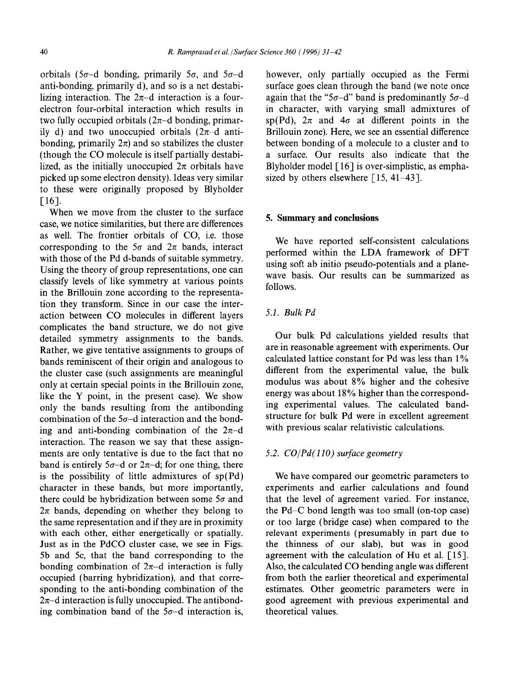orbitals (5 $\sigma$ -d bonding, primarily 5 $\sigma$ , and 5 $\sigma$ -d anti-bonding, primarily d), and so is a net destabilizing interaction. The  $2\pi$ -d interaction is a fourelectron four-orbital interaction which results in two fully occupied orbitals  $(2\pi-d)$  bonding, primarily d) and two unoccupied orbitals  $(2\pi-d$  antibonding, primarily  $2\pi$ ) and so stabilizes the cluster (though the CO molecule is itself partially destabilized, as the initially unoccupied  $2\pi$  orbitals have picked up some electron density). Ideas very similar to these were originally proposed by Blyholder [16].

When we move from the cluster to the surface case, we notice similarities, but there are differences as well. The frontier orbitals of CO, i.e. those corresponding to the  $5\sigma$  and  $2\pi$  bands, interact with those of the Pd d-bands of suitable symmetry. Using the theory of group representations, one can classify levels of like symmetry at various points in the Brillouin zone according to the representation they transform. Since in our case the interaction between CO molecules in different layers complicates the band structure, we do not give detailed symmetry assignments to the bands. Rather, we give tentative assignments to groups of bands reminiscent of their origin and analogous to the cluster case (such assignments are meaningful only at certain special points in the Brillouin zone, like the Y point, in the present case). We show only the bands resulting from the antibonding combination of the  $5\sigma$ -d interaction and the bonding and anti-bonding combination of the  $2\pi-d$ interaction. The reason we say that these assignments are only tentative is due to the fact that no band is entirely  $5\sigma$ -d or  $2\pi$ -d; for one thing, there is the possibility of little admixtures of sp(Pd) character in these bands, but more importantly, there could be hybridization between some  $5\sigma$  and  $2\pi$  bands, depending on whether they belong to the same representation and if they are in proximity with each other, either energetically or spatially. Just as in the PdCO cluster case, we see in Figs. 5b and 5c, that the band corresponding to the bonding combination of  $2\pi$ -d interaction is fully occupied (barring hybridization), and that corresponding to the anti-bonding combination of the  $2\pi$ -d interaction is fully unoccupied. The antibonding combination band of the  $5\sigma$ -d interaction is,

however, only partially occupied as the Fermi surface goes clean through the band (we note once again that the "5 $\sigma$ -d" band is predominantly 5 $\sigma$ -d in character, with varying small admixtures of sp(Pd),  $2\pi$  and  $4\sigma$  at different points in the Brillouin zone). Here, we see an essential difference between bonding of a molecule to a cluster and to a surface. Our results also indicate that the Blyholder model  $\lceil 16 \rceil$  is over-simplistic, as emphasized by others elsewhere  $\lceil 15, 41-43 \rceil$ .

### **5. Summary and conclusions**

We have reported self-consistent calculations performed within the LDA framework of DFT using soft ab initio pseudo-potentials and a planewave basis. Our results can be summarized as follows.

# *5.1. Bulk Pd*

Our bulk Pd calculations yielded results that are in reasonable agreement with experiments. Our calculated lattice constant for Pd was less than 1% different from the experimental value, the bulk modulus was about 8% higher and the cohesive energy was about 18% higher than the corresponding experimental values. The calculated bandstructure for bulk Pd were in excellent agreement with previous scalar relativistic calculations.

## *5.2. CO/Pd(IIO) surface geometry*

We have compared our geometric parameters to experiments and earlier calculations and found that the level of agreement varied. For instance, the Pd-C bond length was too small (on-top case) or too large (bridge case) when compared to the relevant experiments (presumably in part due to the thinness of our slab), but was in good agreement with the calculation of Hu et al. [15]. Also, the calculated CO bending angle was different from both the earlier theoretical and experimental estimates. Other geometric parameters were in good agreement with previous experimental and theoretical values.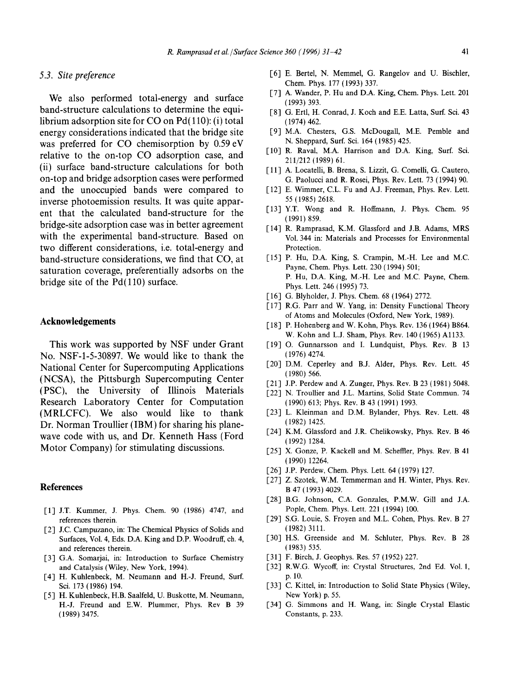#### *5.3. Site preference*

We also performed total-energy and surface band-structure calculations to determine the equilibrium adsorption site for CO on Pd( 110): (i) total energy considerations indicated that the bridge site was preferred for CO chemisorption by 0.59 eV relative to the on-top CO adsorption case, and (ii) surface band-structure calculations for both on-top and bridge adsorption cases were performed and the unoccupied bands were compared to inverse photoemission results. It was quite apparent that the calculated band-structure for the bridge-site adsorption case was in better agreement with the experimental band-structure. Based on two different considerations, i.e. total-energy and band-structure considerations, we find that CO, at saturation coverage, preferentially adsorbs on the bridge site of the  $Pd(110)$  surface.

# **Acknowledgements**

This work was supported by NSF under Grant No. NSF-1-5-30897. We would like to thank the National Center for Supercomputing Applications (NCSA), the Pittsburgh Supercomputing Center (PSC), the University of Illinois Materials Research Laboratory Center for Computation (MRLCFC). We also would like to thank Dr. Norman Troullier (IBM) for sharing his planewave code with us, and Dr. Kenneth Hass (Ford Motor Company) for stimulating discussions.

# **References**

- [1] J.T. Kummer, J. Phys. Chem. 90 (1986) 4747, and references therein.
- [2] J.C. Campuzano, in: The Chemical Physics of Solids and Surfaces, Vol. 4, Eds. D.A. King and D.P. Woodruff, ch. 4, and references therein.
- [3] G.A. Somariai, in: Introduction to Surface Chemistry and Catalysis (Wiley, New York, 1994).
- [4] H. Kuhlenbeck, M. Neumann and H.-J. Freund, Surf. Sci. 173 (1986) 194.
- [5] H. Kuhlenbeck, H.B. Saalfeld, U. Buskotte, M. Neumann, H.-J. Freund and E.W. Plummer, Phys. Rev B 39 (1989) 3475.
- [6] E. Bertel, N. Memmel, G. Rangelov and U. Bischler, Chem. Phys. 177 (1993) 337.
- [7] A. Wander, P. Hu and D.A. King, Chem. Phys. Lett. 201 (1993) 393.
- [8] G. Ertl, H. Conrad, J. Koch and E.E. Latta, Surf. Sci. 43 (1974) 462.
- [9] M.A. Chesters, G.S. McDougall, M.E. Pemble and N. Sheppard, Surf. Sci. 164 (1985) 425.
- [10] R. Raval, M.A. Harrison and D.A. King, Surf. Sci. 211/212 (1989) 61.
- [11] A. Locatelli, B. Brena, S. Lizzit, G. Comelli, G. Cautero, G. Paolucci and R. Rosei, Phys. Rev. Lett. 73 (1994) 90.
- [12] E. Wimmer, C.L. Fu and A.J. Freeman, Phys. Rev. Lett. 55 (1985) 2618.
- [13] Y.T. Wong and R. Hoffmann, J. Phys. Chem. 95 (1991) 859.
- [14] R. Ramprasad, K.M. Glassford and J.B. Adams, MRS Vol. 344 in: Materials and Processes for Environmental Protection.
- [15] P. Hu, D.A. King, S. Crampin, M.-H. Lee and M.C. Payne, Chem. Phys. Lett. 230 (1994) 501; P. Hu, D.A. King, M.-H. Lee and M.C. Payne, Chem. Phys. Lett. 246 (1995) 73.
- [16] G. Blyholder, J. Phys. Chem. 68 (1964) 2772.
- [17] R.G. Parr and W. Yang, in: Density Functional Theory of Atoms and Molecules (Oxford, New York, 1989).
- [18] P. Hohenberg and W. Kohn, Phys. Rev. 136 (1964) B864. W. Kohn and L.J. Sham, Phys. Rev. 140 (1965) Al133.
- [19] O. Gunnarsson and I. Lundquist, Phys. Rev. B 13 (1976) 4274.
- [20] D.M. Ceperley and B.J. Alder, Phys. Rev. Lett. 45 (1980) 566.
- [21] J.P. Perdew and A. Zunger, Phys. Rev. B 23 (1981) 5048.
- [22] N. Troullier and J.L. Martins, Solid State Commun. 74 (1990) 613; Phys. Rev. B 43 (1991) 1993.
- [23] L. Kleinman and D.M. Bylander, Phys. Rev. Lett. 48 (1982) 1425.
- [24] K.M. Glassford and J.R. Chelikowsky, Phys. Rev. B 46 (1992) 1284.
- [25] X. Gonze, P. Kackell and M. Scheffler, Phys. Rev. B 41 (1990) 12264.
- [26] J.P. Perdew, Chem. Phys. Lett. 64 (1979) 127.
- [27] Z. Szotek, W.M. Temmerman and H. Winter, Phys. Rev. B 47 (1993) 4029.
- [28] B.G. Johnson, C.A. Gonzales, P.M.W. Gill and J.A. Pople, Chem. Phys. Lett. 221 (1994) 100.
- [29] S.G. Louie, S. Froyen and M.L. Cohen, Phys. Rev. B 27 (1982) 3111.
- [30] H.S. Greenside and M. Schluter, Phys. Rev. B 28 (1983) 535.
- [31] F. Birch, J. Geophys. Res. 57 (1952) 227.
- [32] R.W.G. Wycoff, in: Crystal Structures, 2nd Ed. Vol. 1, p. 10.
- [33] C. Kittel, in: Introduction to Solid State Physics (Wiley, New York) p. 55.
- [34] G. Simmons and H. Wang, in: Single Crystal Elastic Constants, p. 233.